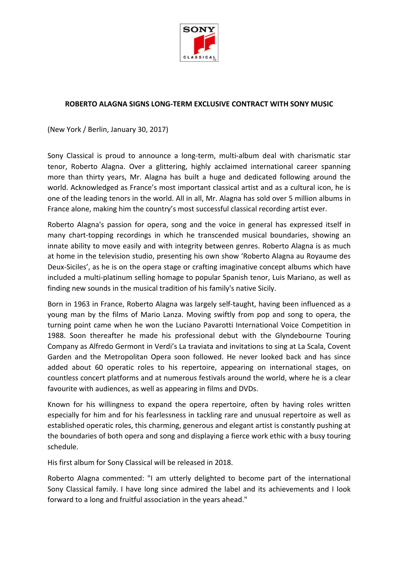

## **ROBERTO ALAGNA SIGNS LONG-TERM EXCLUSIVE CONTRACT WITH SONY MUSIC**

(New York / Berlin, January 30, 2017)

Sony Classical is proud to announce a long-term, multi-album deal with charismatic star tenor, Roberto Alagna. Over a glittering, highly acclaimed international career spanning more than thirty years, Mr. Alagna has built a huge and dedicated following around the world. Acknowledged as France's most important classical artist and as a cultural icon, he is one of the leading tenors in the world. All in all, Mr. Alagna has sold over 5 million albums in France alone, making him the country's most successful classical recording artist ever.

Roberto Alagna's passion for opera, song and the voice in general has expressed itself in many chart-topping recordings in which he transcended musical boundaries, showing an innate ability to move easily and with integrity between genres. Roberto Alagna is as much at home in the television studio, presenting his own show 'Roberto Alagna au Royaume des Deux-Siciles', as he is on the opera stage or crafting imaginative concept albums which have included a multi-platinum selling homage to popular Spanish tenor, Luis Mariano, as well as finding new sounds in the musical tradition of his family's native Sicily.

Born in 1963 in France, Roberto Alagna was largely self-taught, having been influenced as a young man by the films of Mario Lanza. Moving swiftly from pop and song to opera, the turning point came when he won the Luciano Pavarotti International Voice Competition in 1988. Soon thereafter he made his professional debut with the Glyndebourne Touring Company as Alfredo Germont in Verdi's La traviata and invitations to sing at La Scala, Covent Garden and the Metropolitan Opera soon followed. He never looked back and has since added about 60 operatic roles to his repertoire, appearing on international stages, on countless concert platforms and at numerous festivals around the world, where he is a clear favourite with audiences, as well as appearing in films and DVDs.

Known for his willingness to expand the opera repertoire, often by having roles written especially for him and for his fearlessness in tackling rare and unusual repertoire as well as established operatic roles, this charming, generous and elegant artist is constantly pushing at the boundaries of both opera and song and displaying a fierce work ethic with a busy touring schedule.

His first album for Sony Classical will be released in 2018.

Roberto Alagna commented: "I am utterly delighted to become part of the international Sony Classical family. I have long since admired the label and its achievements and I look forward to a long and fruitful association in the years ahead."